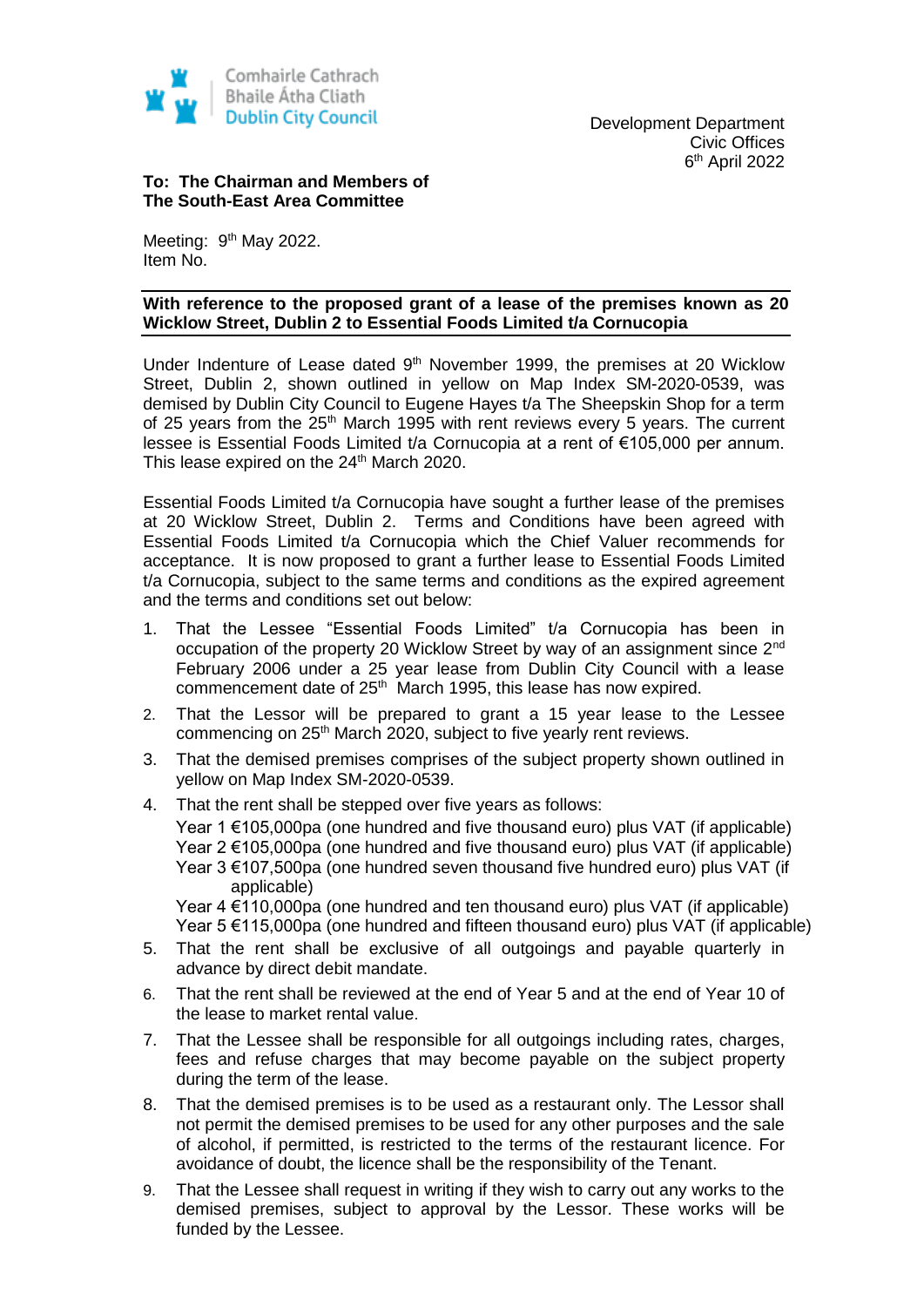

## **To: The Chairman and Members of The South-East Area Committee**

Meeting: 9<sup>th</sup> May 2022. Item No.

## **With reference to the proposed grant of a lease of the premises known as 20 Wicklow Street, Dublin 2 to Essential Foods Limited t/a Cornucopia**

Under Indenture of Lease dated 9<sup>th</sup> November 1999, the premises at 20 Wicklow Street, Dublin 2, shown outlined in yellow on Map Index SM-2020-0539, was demised by Dublin City Council to Eugene Hayes t/a The Sheepskin Shop for a term of 25 years from the  $25<sup>th</sup>$  March 1995 with rent reviews every 5 years. The current lessee is Essential Foods Limited t/a Cornucopia at a rent of €105,000 per annum. This lease expired on the 24<sup>th</sup> March 2020.

Essential Foods Limited t/a Cornucopia have sought a further lease of the premises at 20 Wicklow Street, Dublin 2. Terms and Conditions have been agreed with Essential Foods Limited t/a Cornucopia which the Chief Valuer recommends for acceptance. It is now proposed to grant a further lease to Essential Foods Limited t/a Cornucopia, subject to the same terms and conditions as the expired agreement and the terms and conditions set out below:

- 1. That the Lessee "Essential Foods Limited" t/a Cornucopia has been in occupation of the property 20 Wicklow Street by way of an assignment since 2nd February 2006 under a 25 year lease from Dublin City Council with a lease commencement date of 25<sup>th</sup> March 1995, this lease has now expired.
- 2. That the Lessor will be prepared to grant a 15 year lease to the Lessee commencing on 25<sup>th</sup> March 2020, subject to five yearly rent reviews.
- 3. That the demised premises comprises of the subject property shown outlined in yellow on Map Index SM-2020-0539.
- 4. That the rent shall be stepped over five years as follows: Year 1 €105,000pa (one hundred and five thousand euro) plus VAT (if applicable) Year 2 €105,000pa (one hundred and five thousand euro) plus VAT (if applicable) Year  $3 \in 107,500$ pa (one hundred seven thousand five hundred euro) plus VAT (if applicable)

Year 4 €110,000pa (one hundred and ten thousand euro) plus VAT (if applicable) Year 5 €115,000pa (one hundred and fifteen thousand euro) plus VAT (if applicable)

- 5. That the rent shall be exclusive of all outgoings and payable quarterly in advance by direct debit mandate.
- 6. That the rent shall be reviewed at the end of Year 5 and at the end of Year 10 of the lease to market rental value.
- 7. That the Lessee shall be responsible for all outgoings including rates, charges, fees and refuse charges that may become payable on the subject property during the term of the lease.
- 8. That the demised premises is to be used as a restaurant only. The Lessor shall not permit the demised premises to be used for any other purposes and the sale of alcohol, if permitted, is restricted to the terms of the restaurant licence. For avoidance of doubt, the licence shall be the responsibility of the Tenant.
- 9. That the Lessee shall request in writing if they wish to carry out any works to the demised premises, subject to approval by the Lessor. These works will be funded by the Lessee.